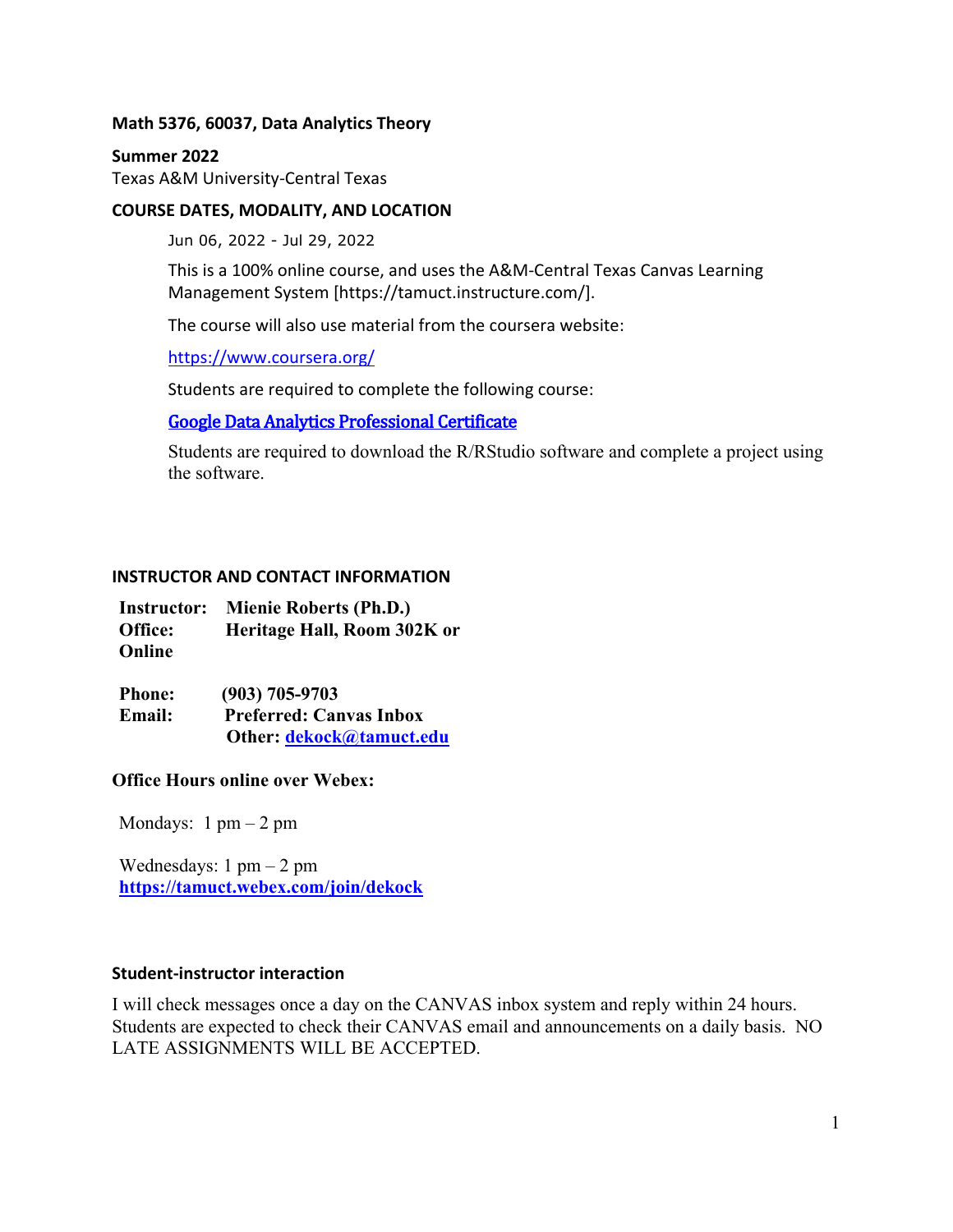#### **Math 5376, 60037, Data Analytics Theory**

#### **Summer 2022**

Texas A&M University-Central Texas

### **COURSE DATES, MODALITY, AND LOCATION**

Jun 06, 2022 - Jul 29, 2022

This is a 100% online course, and uses the A&M-Central Texas Canvas Learning Management System [https://tamuct.instructure.com/].

The course will also use material from the coursera website:

<https://www.coursera.org/>

Students are required to complete the following course:

### [Google Data Analytics Professional Certificate](https://www.coursera.org/professional-certificates/google-data-analytics)

Students are required to download the R/RStudio software and complete a project using the software.

#### **INSTRUCTOR AND CONTACT INFORMATION**

| <b>Instructor:</b> | <b>Mienie Roberts (Ph.D.)</b> |  |  |  |  |
|--------------------|-------------------------------|--|--|--|--|
| Office:            | Heritage Hall, Room 302K or   |  |  |  |  |
| Online             |                               |  |  |  |  |

| <b>Phone:</b> | $(903)$ 705-9703               |
|---------------|--------------------------------|
| <b>Email:</b> | <b>Preferred: Canvas Inbox</b> |
|               | Other: dekock@tamuct.edu       |

### **Office Hours online over Webex:**

Mondays:  $1 \text{ pm} - 2 \text{ pm}$ 

Wednesdays:  $1 \text{ pm} - 2 \text{ pm}$ **<https://tamuct.webex.com/join/dekock>**

#### **Student-instructor interaction**

I will check messages once a day on the CANVAS inbox system and reply within 24 hours. Students are expected to check their CANVAS email and announcements on a daily basis. NO LATE ASSIGNMENTS WILL BE ACCEPTED.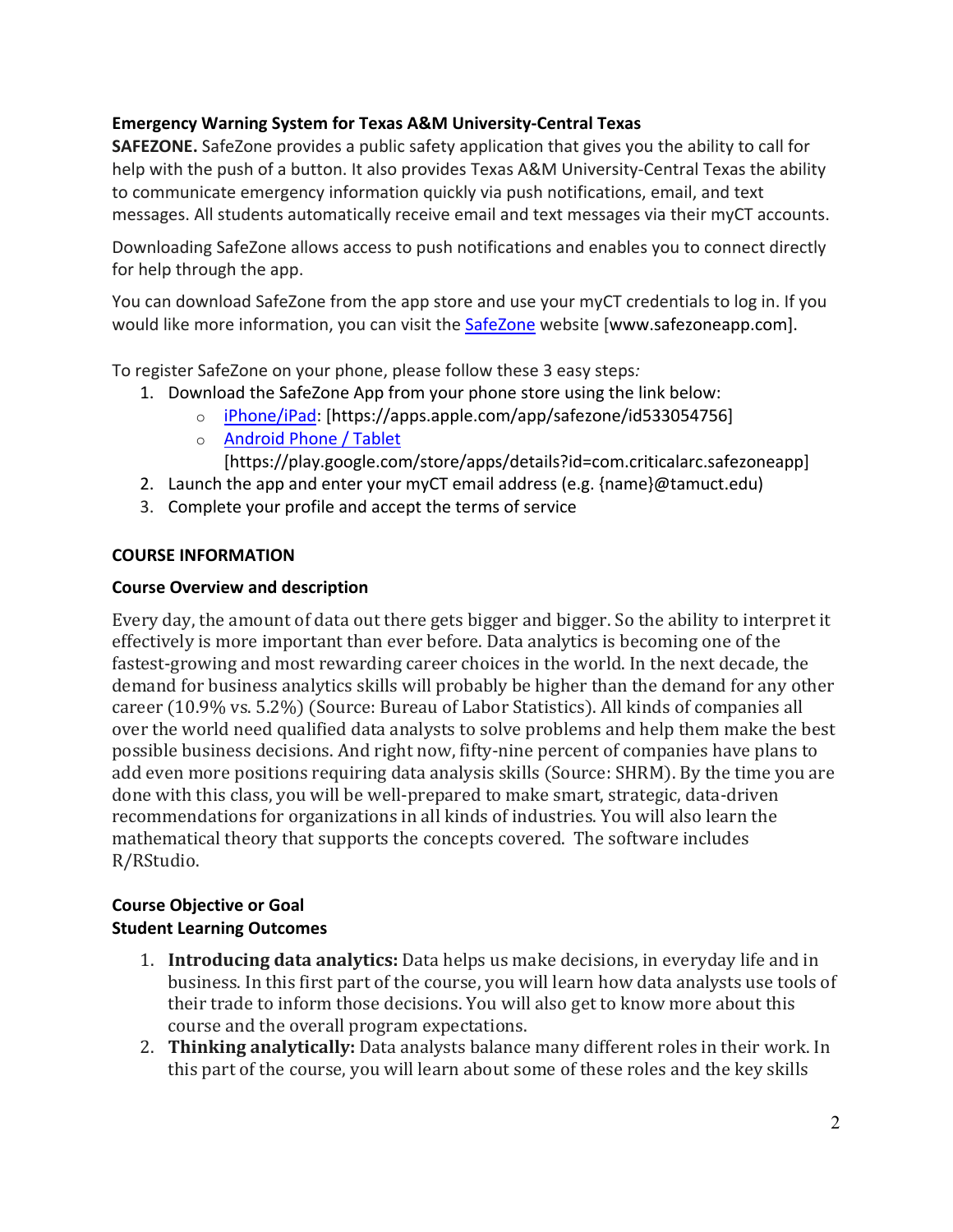## **Emergency Warning System for Texas A&M University-Central Texas**

**SAFEZONE.** SafeZone provides a public safety application that gives you the ability to call for help with the push of a button. It also provides Texas A&M University-Central Texas the ability to communicate emergency information quickly via push notifications, email, and text messages. All students automatically receive email and text messages via their myCT accounts.

Downloading SafeZone allows access to push notifications and enables you to connect directly for help through the app.

You can download SafeZone from the app store and use your myCT credentials to log in. If you would like more information, you can visit the [SafeZone](http://www.safezoneapp.com/) website [www.safezoneapp.com].

To register SafeZone on your phone, please follow these 3 easy steps*:*

- 1. Download the SafeZone App from your phone store using the link below:
	- o [iPhone/iPad:](https://apps.apple.com/app/safezone/id533054756) [https://apps.apple.com/app/safezone/id533054756]
	- o [Android Phone / Tablet](https://play.google.com/store/apps/details?id=com.criticalarc.safezoneapp)

[https://play.google.com/store/apps/details?id=com.criticalarc.safezoneapp]

- 2. Launch the app and enter your myCT email address (e.g. {name}@tamuct.edu)
- 3. Complete your profile and accept the terms of service

### **COURSE INFORMATION**

### **Course Overview and description**

Every day, the amount of data out there gets bigger and bigger. So the ability to interpret it effectively is more important than ever before. Data analytics is becoming one of the fastest-growing and most rewarding career choices in the world. In the next decade, the demand for business analytics skills will probably be higher than the demand for any other career (10.9% vs. 5.2%) (Source: Bureau of Labor Statistics). All kinds of companies all over the world need qualified data analysts to solve problems and help them make the best possible business decisions. And right now, fifty-nine percent of companies have plans to add even more positions requiring data analysis skills (Source: SHRM). By the time you are done with this class, you will be well-prepared to make smart, strategic, data-driven recommendations for organizations in all kinds of industries. You will also learn the mathematical theory that supports the concepts covered. The software includes R/RStudio.

### **Course Objective or Goal Student Learning Outcomes**

- 1. **Introducing data analytics:** Data helps us make decisions, in everyday life and in business. In this first part of the course, you will learn how data analysts use tools of their trade to inform those decisions. You will also get to know more about this course and the overall program expectations.
- 2. **Thinking analytically:** Data analysts balance many different roles in their work. In this part of the course, you will learn about some of these roles and the key skills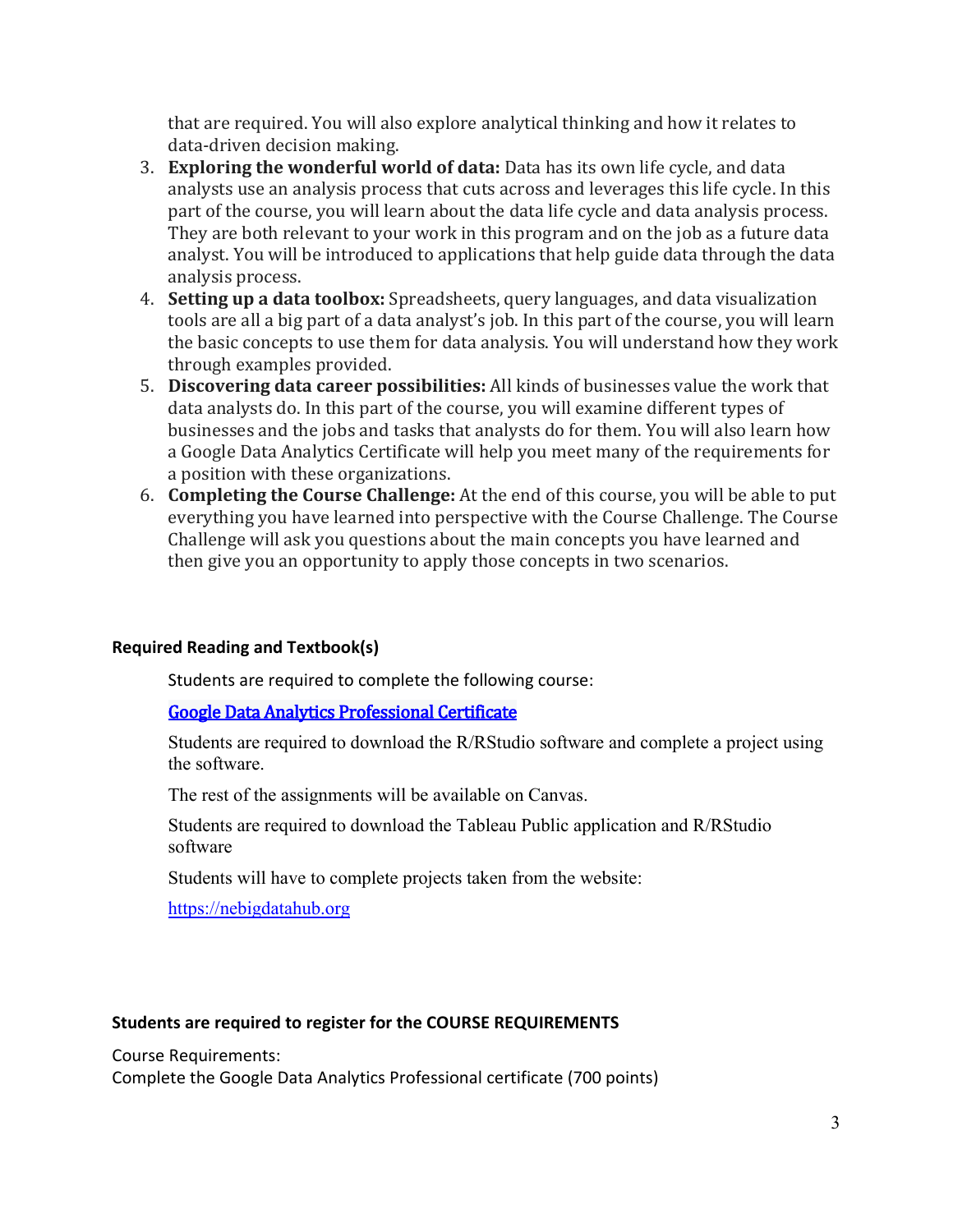that are required. You will also explore analytical thinking and how it relates to data-driven decision making.

- 3. **Exploring the wonderful world of data:** Data has its own life cycle, and data analysts use an analysis process that cuts across and leverages this life cycle. In this part of the course, you will learn about the data life cycle and data analysis process. They are both relevant to your work in this program and on the job as a future data analyst. You will be introduced to applications that help guide data through the data analysis process.
- 4. **Setting up a data toolbox:** Spreadsheets, query languages, and data visualization tools are all a big part of a data analyst's job. In this part of the course, you will learn the basic concepts to use them for data analysis. You will understand how they work through examples provided.
- 5. **Discovering data career possibilities:** All kinds of businesses value the work that data analysts do. In this part of the course, you will examine different types of businesses and the jobs and tasks that analysts do for them. You will also learn how a Google Data Analytics Certificate will help you meet many of the requirements for a position with these organizations.
- 6. **Completing the Course Challenge:** At the end of this course, you will be able to put everything you have learned into perspective with the Course Challenge. The Course Challenge will ask you questions about the main concepts you have learned and then give you an opportunity to apply those concepts in two scenarios.

## **Required Reading and Textbook(s)**

Students are required to complete the following course:

### [Google Data Analytics Professional Certificate](https://www.coursera.org/professional-certificates/google-data-analytics)

Students are required to download the R/RStudio software and complete a project using the software.

The rest of the assignments will be available on Canvas.

Students are required to download the Tableau Public application and R/RStudio software

Students will have to complete projects taken from the website:

[https://nebigdatahub.org](https://nebigdatahub.org/)

### **Students are required to register for the COURSE REQUIREMENTS**

Course Requirements:

Complete the Google Data Analytics Professional certificate (700 points)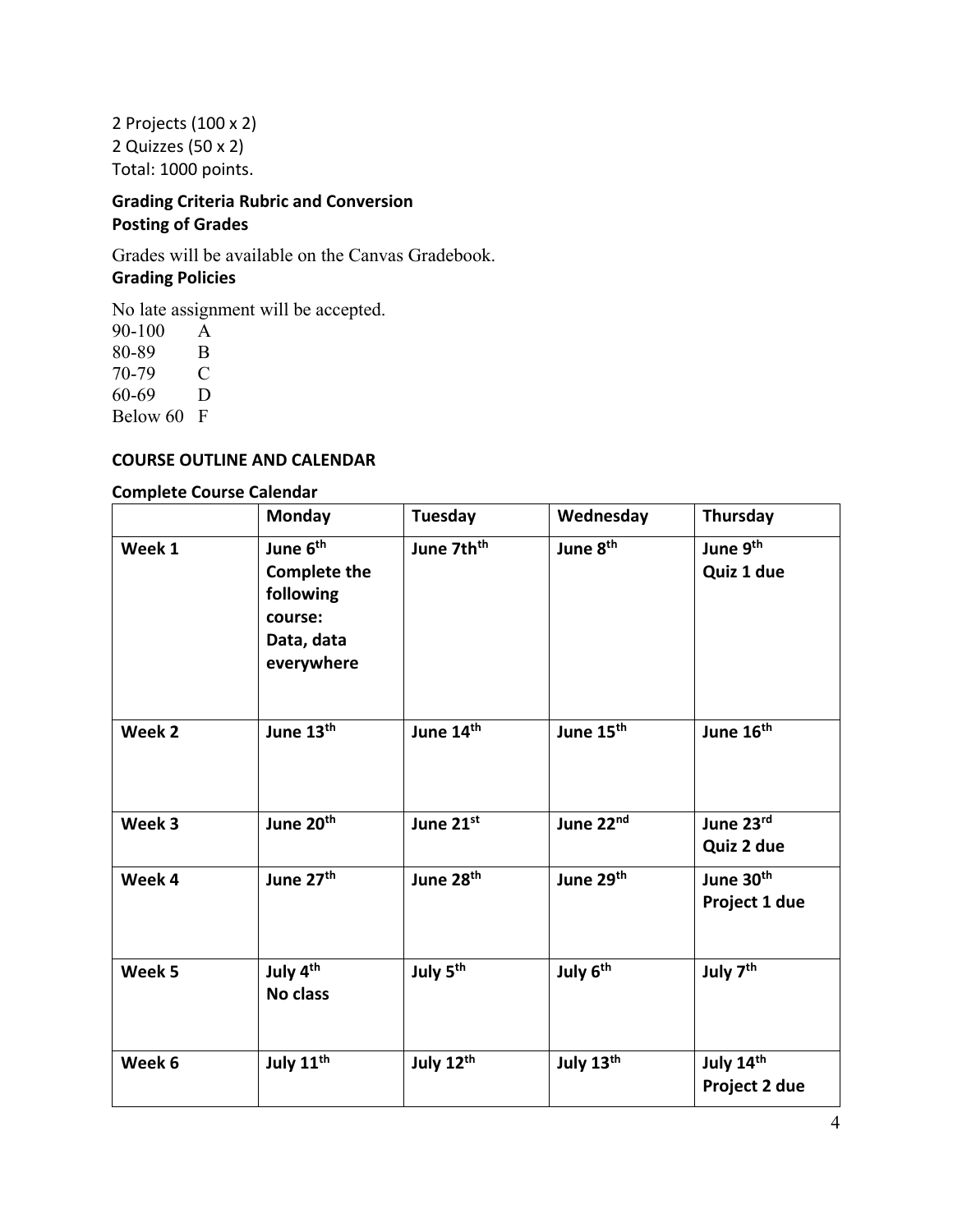2 Projects (100 x 2) 2 Quizzes (50 x 2) Total: 1000 points.

## **Grading Criteria Rubric and Conversion Posting of Grades**

Grades will be available on the Canvas Gradebook. **Grading Policies**

No late assignment will be accepted.

90-100 A<br>80-89 B 80-89 70-79 C 60-69 D Below 60 F

### **COURSE OUTLINE AND CALENDAR**

#### **Complete Course Calendar**

|        | <b>Monday</b>                                                                                   | Tuesday                | Wednesday             | Thursday                               |
|--------|-------------------------------------------------------------------------------------------------|------------------------|-----------------------|----------------------------------------|
| Week 1 | June 6 <sup>th</sup><br><b>Complete the</b><br>following<br>course:<br>Data, data<br>everywhere | June 7th <sup>th</sup> | June 8 <sup>th</sup>  | June 9 <sup>th</sup><br>Quiz 1 due     |
| Week 2 | June 13th                                                                                       | June 14th              | June 15 <sup>th</sup> | June 16 <sup>th</sup>                  |
| Week 3 | June 20th                                                                                       | June 21st              | June 22nd             | June 23rd<br>Quiz 2 due                |
| Week 4 | June 27 <sup>th</sup>                                                                           | June 28 <sup>th</sup>  | June 29th             | June 30 <sup>th</sup><br>Project 1 due |
| Week 5 | July 4 <sup>th</sup><br><b>No class</b>                                                         | July 5 <sup>th</sup>   | July 6 <sup>th</sup>  | July 7 <sup>th</sup>                   |
| Week 6 | July 11 <sup>th</sup>                                                                           | July 12th              | July 13th             | July 14th<br>Project 2 due             |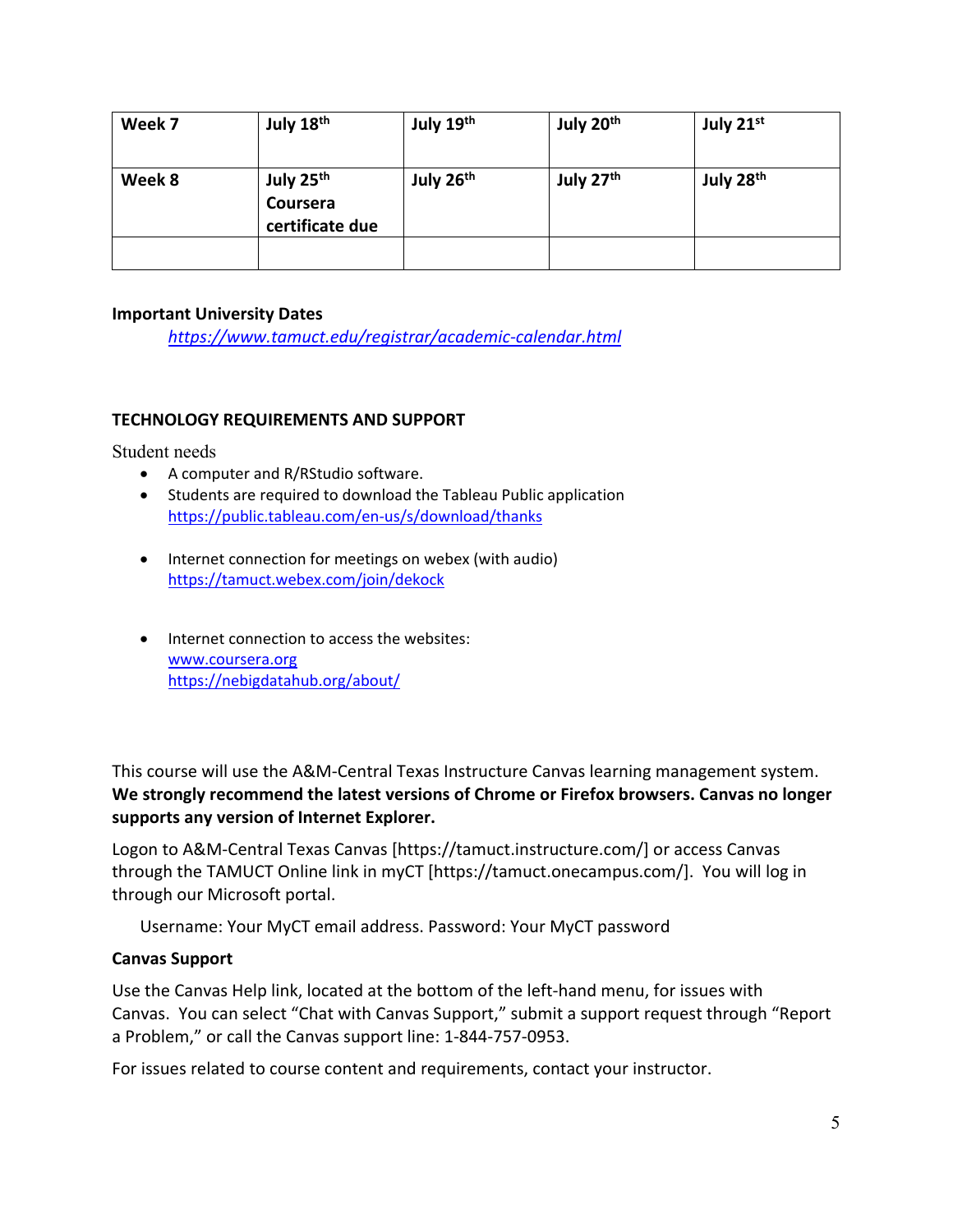| Week 7 | July 18 <sup>th</sup>                                | July 19th             | July 20 <sup>th</sup> | July 21st             |
|--------|------------------------------------------------------|-----------------------|-----------------------|-----------------------|
| Week 8 | July 25 <sup>th</sup><br>Coursera<br>certificate due | July 26 <sup>th</sup> | July 27 <sup>th</sup> | July 28 <sup>th</sup> |
|        |                                                      |                       |                       |                       |

### **Important University Dates**

*<https://www.tamuct.edu/registrar/academic-calendar.html>*

### **TECHNOLOGY REQUIREMENTS AND SUPPORT**

Student needs

- A computer and R/RStudio software.
- Students are required to download the Tableau Public application <https://public.tableau.com/en-us/s/download/thanks>
- Internet connection for meetings on webex (with audio) <https://tamuct.webex.com/join/dekock>
- Internet connection to access the websites: [www.coursera.org](http://www.coursera.org/) <https://nebigdatahub.org/about/>

This course will use the A&M-Central Texas Instructure Canvas learning management system. **We strongly recommend the latest versions of Chrome or Firefox browsers. Canvas no longer supports any version of Internet Explorer.**

Logon to A&M-Central Texas Canvas [https://tamuct.instructure.com/] or access Canvas through the TAMUCT Online link in myCT [https://tamuct.onecampus.com/]. You will log in through our Microsoft portal.

Username: Your MyCT email address. Password: Your MyCT password

### **Canvas Support**

Use the Canvas Help link, located at the bottom of the left-hand menu, for issues with Canvas. You can select "Chat with Canvas Support," submit a support request through "Report a Problem," or call the Canvas support line: 1-844-757-0953.

For issues related to course content and requirements, contact your instructor.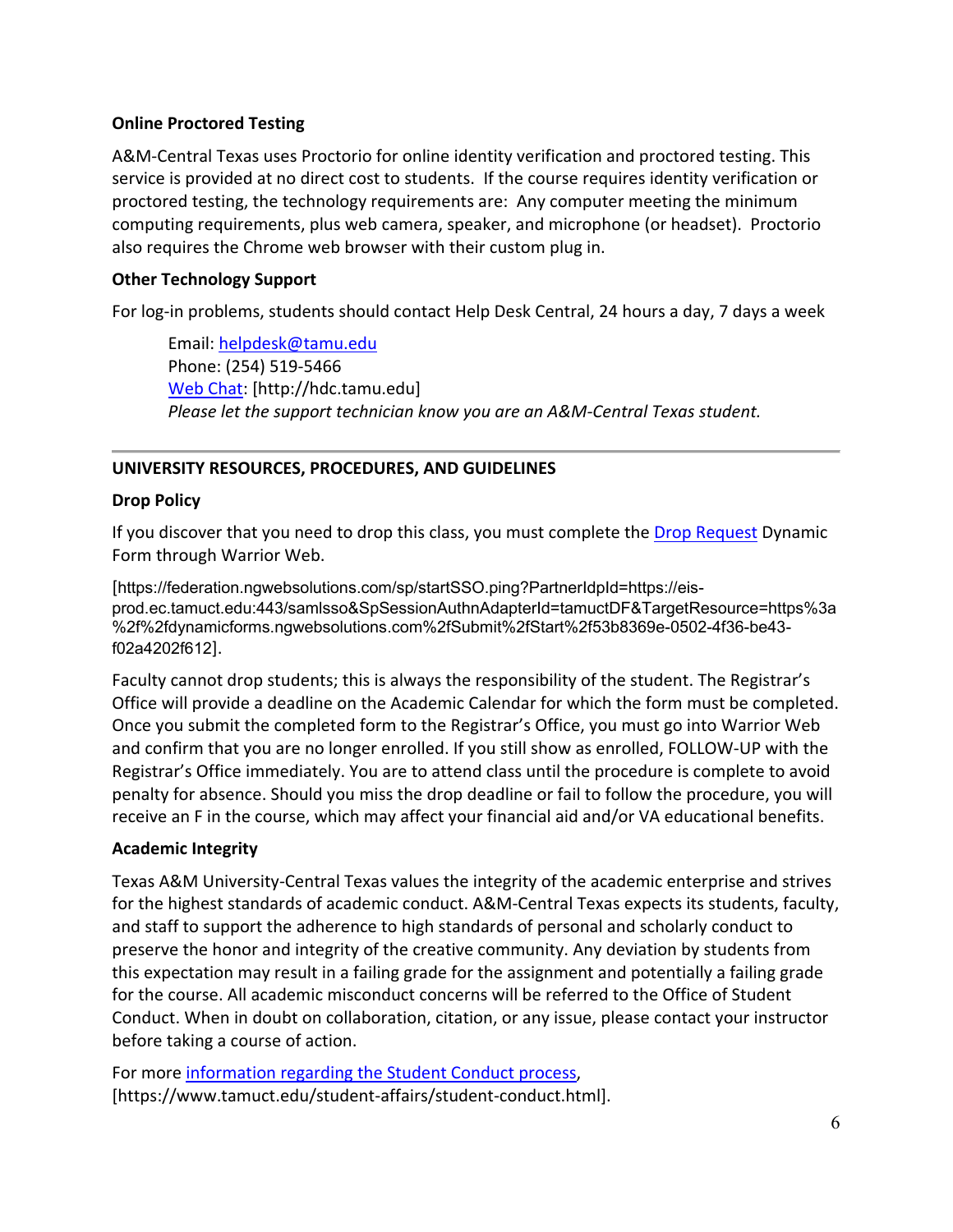### **Online Proctored Testing**

A&M-Central Texas uses Proctorio for online identity verification and proctored testing. This service is provided at no direct cost to students. If the course requires identity verification or proctored testing, the technology requirements are: Any computer meeting the minimum computing requirements, plus web camera, speaker, and microphone (or headset). Proctorio also requires the Chrome web browser with their custom plug in.

## **Other Technology Support**

For log-in problems, students should contact Help Desk Central, 24 hours a day, 7 days a week

Email: [helpdesk@tamu.edu](mailto:helpdesk@tamu.edu) Phone: (254) 519-5466 [Web Chat:](http://hdc.tamu.edu/) [http://hdc.tamu.edu] *Please let the support technician know you are an A&M-Central Texas student.*

# **UNIVERSITY RESOURCES, PROCEDURES, AND GUIDELINES**

## **Drop Policy**

If you discover that you need to drop this class, you must complete the [Drop Request](https://federation.ngwebsolutions.com/sp/startSSO.ping?PartnerIdpId=https://eis-prod.ec.tamuct.edu:443/samlsso&SpSessionAuthnAdapterId=tamuctDF&TargetResource=https%3a%2f%2fdynamicforms.ngwebsolutions.com%2fSubmit%2fStart%2f53b8369e-0502-4f36-be43-f02a4202f612) Dynamic Form through Warrior Web.

[https://federation.ngwebsolutions.com/sp/startSSO.ping?PartnerIdpId=https://eisprod.ec.tamuct.edu:443/samlsso&SpSessionAuthnAdapterId=tamuctDF&TargetResource=https%3a %2f%2fdynamicforms.ngwebsolutions.com%2fSubmit%2fStart%2f53b8369e-0502-4f36-be43 f02a4202f612].

Faculty cannot drop students; this is always the responsibility of the student. The Registrar's Office will provide a deadline on the Academic Calendar for which the form must be completed. Once you submit the completed form to the Registrar's Office, you must go into Warrior Web and confirm that you are no longer enrolled. If you still show as enrolled, FOLLOW-UP with the Registrar's Office immediately. You are to attend class until the procedure is complete to avoid penalty for absence. Should you miss the drop deadline or fail to follow the procedure, you will receive an F in the course, which may affect your financial aid and/or VA educational benefits.

## **Academic Integrity**

Texas A&M University-Central Texas values the integrity of the academic enterprise and strives for the highest standards of academic conduct. A&M-Central Texas expects its students, faculty, and staff to support the adherence to high standards of personal and scholarly conduct to preserve the honor and integrity of the creative community. Any deviation by students from this expectation may result in a failing grade for the assignment and potentially a failing grade for the course. All academic misconduct concerns will be referred to the Office of Student Conduct. When in doubt on collaboration, citation, or any issue, please contact your instructor before taking a course of action.

For more [information](https://nam04.safelinks.protection.outlook.com/?url=https%3A%2F%2Fwww.tamuct.edu%2Fstudent-affairs%2Fstudent-conduct.html&data=04%7C01%7Clisa.bunkowski%40tamuct.edu%7Ccfb6e486f24745f53e1a08d910055cb2%7C9eed4e3000f744849ff193ad8005acec%7C0%7C0%7C637558437485252160%7CUnknown%7CTWFpbGZsb3d8eyJWIjoiMC4wLjAwMDAiLCJQIjoiV2luMzIiLCJBTiI6Ik1haWwiLCJXVCI6Mn0%3D%7C1000&sdata=yjftDEVHvLX%2FhM%2FcFU0B99krV1RgEWR%2BJ%2BhvtoR6TYk%3D&reserved=0) regarding the Student Conduct process, [https://www.tamuct.edu/student-affairs/student-conduct.html].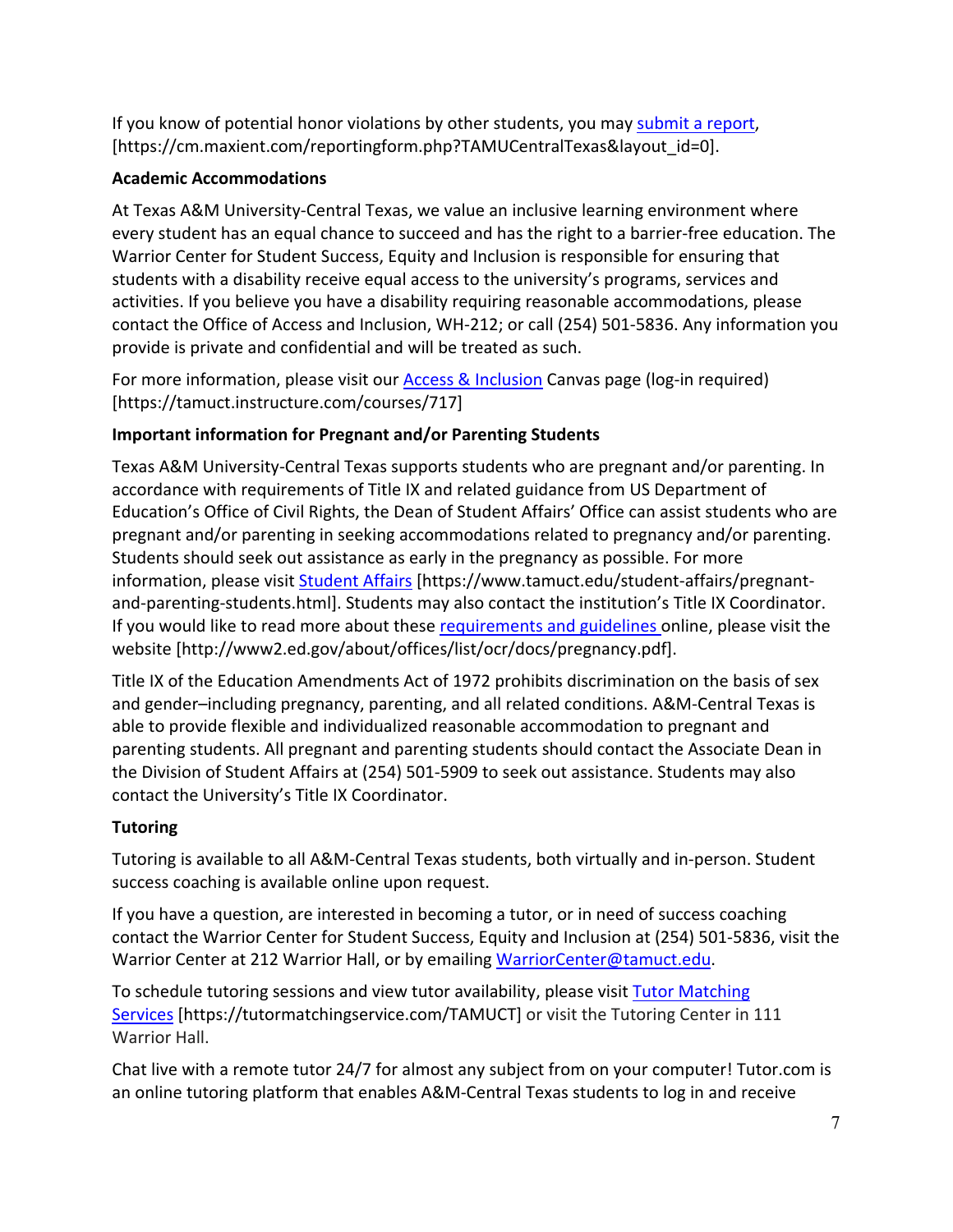If you know of potential honor violations by other students, you may [submit](https://nam04.safelinks.protection.outlook.com/?url=https%3A%2F%2Fcm.maxient.com%2Freportingform.php%3FTAMUCentralTexas%26layout_id%3D0&data=04%7C01%7Clisa.bunkowski%40tamuct.edu%7Ccfb6e486f24745f53e1a08d910055cb2%7C9eed4e3000f744849ff193ad8005acec%7C0%7C0%7C637558437485262157%7CUnknown%7CTWFpbGZsb3d8eyJWIjoiMC4wLjAwMDAiLCJQIjoiV2luMzIiLCJBTiI6Ik1haWwiLCJXVCI6Mn0%3D%7C1000&sdata=CXGkOa6uPDPX1IMZ87z3aZDq2n91xfHKu4MMS43Ejjk%3D&reserved=0) a report, [https://cm.maxient.com/reportingform.php?TAMUCentralTexas&layout\_id=0].

## **Academic Accommodations**

At Texas A&M University-Central Texas, we value an inclusive learning environment where every student has an equal chance to succeed and has the right to a barrier-free education. The Warrior Center for Student Success, Equity and Inclusion is responsible for ensuring that students with a disability receive equal access to the university's programs, services and activities. If you believe you have a disability requiring reasonable accommodations, please contact the Office of Access and Inclusion, WH-212; or call (254) 501-5836. Any information you provide is private and confidential and will be treated as such.

For more information, please visit our [Access & Inclusion](https://tamuct.instructure.com/courses/717) Canvas page (log-in required) [https://tamuct.instructure.com/courses/717]

# **Important information for Pregnant and/or Parenting Students**

Texas A&M University-Central Texas supports students who are pregnant and/or parenting. In accordance with requirements of Title IX and related guidance from US Department of Education's Office of Civil Rights, the Dean of Student Affairs' Office can assist students who are pregnant and/or parenting in seeking accommodations related to pregnancy and/or parenting. Students should seek out assistance as early in the pregnancy as possible. For more information, please visit [Student Affairs](https://www.tamuct.edu/student-affairs/pregnant-and-parenting-students.html) [https://www.tamuct.edu/student-affairs/pregnantand-parenting-students.html]. Students may also contact the institution's Title IX Coordinator. If you would like to read more about these [requirements and guidelines](http://www2.ed.gov/about/offices/list/ocr/docs/pregnancy.pdf) online, please visit the website [http://www2.ed.gov/about/offices/list/ocr/docs/pregnancy.pdf].

Title IX of the Education Amendments Act of 1972 prohibits discrimination on the basis of sex and gender–including pregnancy, parenting, and all related conditions. A&M-Central Texas is able to provide flexible and individualized reasonable accommodation to pregnant and parenting students. All pregnant and parenting students should contact the Associate Dean in the Division of Student Affairs at (254) 501-5909 to seek out assistance. Students may also contact the University's Title IX Coordinator.

# **Tutoring**

Tutoring is available to all A&M-Central Texas students, both virtually and in-person. Student success coaching is available online upon request.

If you have a question, are interested in becoming a tutor, or in need of success coaching contact the Warrior Center for Student Success, Equity and Inclusion at (254) 501-5836, visit the Warrior Center at 212 Warrior Hall, or by emailing [WarriorCenter@tamuct.edu.](mailto:WarriorCenter@tamuct.edu)

To schedule tutoring sessions and view tutor availability, please visit Tutor [Matching](https://tutormatchingservice.com/TAMUCT) [Services](https://tutormatchingservice.com/TAMUCT) [https://tutormatchingservice.com/TAMUCT] or visit the Tutoring Center in 111 Warrior Hall.

Chat live with a remote tutor 24/7 for almost any subject from on your computer! Tutor.com is an online tutoring platform that enables A&M-Central Texas students to log in and receive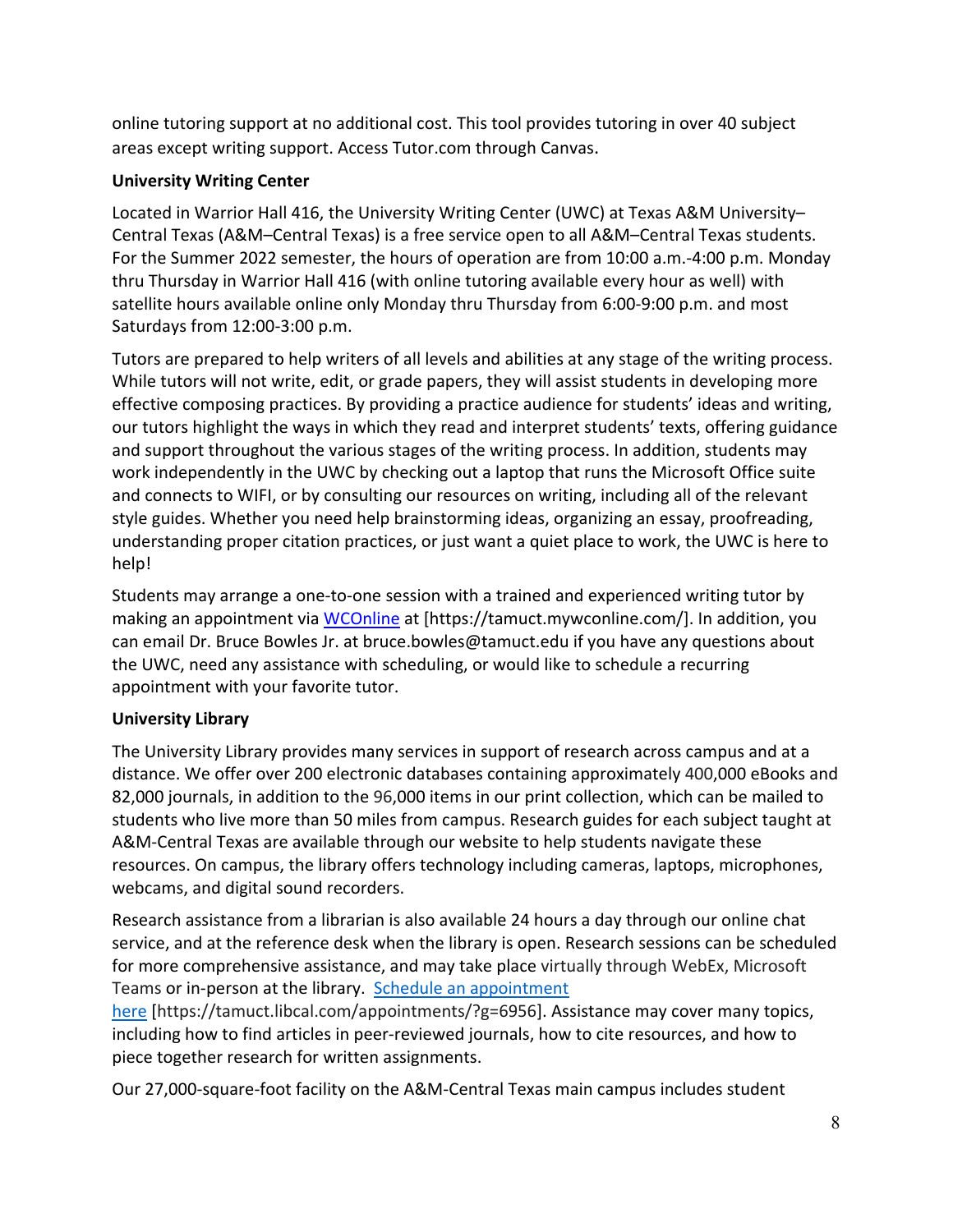online tutoring support at no additional cost. This tool provides tutoring in over 40 subject areas except writing support. Access Tutor.com through Canvas.

## **University Writing Center**

Located in Warrior Hall 416, the University Writing Center (UWC) at Texas A&M University– Central Texas (A&M–Central Texas) is a free service open to all A&M–Central Texas students. For the Summer 2022 semester, the hours of operation are from 10:00 a.m.-4:00 p.m. Monday thru Thursday in Warrior Hall 416 (with online tutoring available every hour as well) with satellite hours available online only Monday thru Thursday from 6:00-9:00 p.m. and most Saturdays from 12:00-3:00 p.m.

Tutors are prepared to help writers of all levels and abilities at any stage of the writing process. While tutors will not write, edit, or grade papers, they will assist students in developing more effective composing practices. By providing a practice audience for students' ideas and writing, our tutors highlight the ways in which they read and interpret students' texts, offering guidance and support throughout the various stages of the writing process. In addition, students may work independently in the UWC by checking out a laptop that runs the Microsoft Office suite and connects to WIFI, or by consulting our resources on writing, including all of the relevant style guides. Whether you need help brainstorming ideas, organizing an essay, proofreading, understanding proper citation practices, or just want a quiet place to work, the UWC is here to help!

Students may arrange a one-to-one session with a trained and experienced writing tutor by making an appointment via [WCOnline](https://tamuct.mywconline.com/) at [https://tamuct.mywconline.com/]. In addition, you can email Dr. Bruce Bowles Jr. at bruce.bowles@tamuct.edu if you have any questions about the UWC, need any assistance with scheduling, or would like to schedule a recurring appointment with your favorite tutor.

# **University Library**

The University Library provides many services in support of research across campus and at a distance. We offer over 200 electronic databases containing approximately 400,000 eBooks and 82,000 journals, in addition to the 96,000 items in our print collection, which can be mailed to students who live more than 50 miles from campus. Research guides for each subject taught at A&M-Central Texas are available through our website to help students navigate these resources. On campus, the library offers technology including cameras, laptops, microphones, webcams, and digital sound recorders.

Research assistance from a librarian is also available 24 hours a day through our online chat service, and at the reference desk when the library is open. Research sessions can be scheduled for more comprehensive assistance, and may take place virtually through WebEx, Microsoft Teams or in-person at the library. Schedule an [appointment](https://nam04.safelinks.protection.outlook.com/?url=https%3A%2F%2Ftamuct.libcal.com%2Fappointments%2F%3Fg%3D6956&data=04%7C01%7Clisa.bunkowski%40tamuct.edu%7Cde2c07d9f5804f09518008d9ab7ba6ff%7C9eed4e3000f744849ff193ad8005acec%7C0%7C0%7C637729369835011558%7CUnknown%7CTWFpbGZsb3d8eyJWIjoiMC4wLjAwMDAiLCJQIjoiV2luMzIiLCJBTiI6Ik1haWwiLCJXVCI6Mn0%3D%7C3000&sdata=KhtjgRSAw9aq%2FoBsB6wyu8b7PSuGN5EGPypzr3Ty2No%3D&reserved=0)

[here](https://nam04.safelinks.protection.outlook.com/?url=https%3A%2F%2Ftamuct.libcal.com%2Fappointments%2F%3Fg%3D6956&data=04%7C01%7Clisa.bunkowski%40tamuct.edu%7Cde2c07d9f5804f09518008d9ab7ba6ff%7C9eed4e3000f744849ff193ad8005acec%7C0%7C0%7C637729369835011558%7CUnknown%7CTWFpbGZsb3d8eyJWIjoiMC4wLjAwMDAiLCJQIjoiV2luMzIiLCJBTiI6Ik1haWwiLCJXVCI6Mn0%3D%7C3000&sdata=KhtjgRSAw9aq%2FoBsB6wyu8b7PSuGN5EGPypzr3Ty2No%3D&reserved=0) [https://tamuct.libcal.com/appointments/?g=6956]. Assistance may cover many topics, including how to find articles in peer-reviewed journals, how to cite resources, and how to piece together research for written assignments.

Our 27,000-square-foot facility on the A&M-Central Texas main campus includes student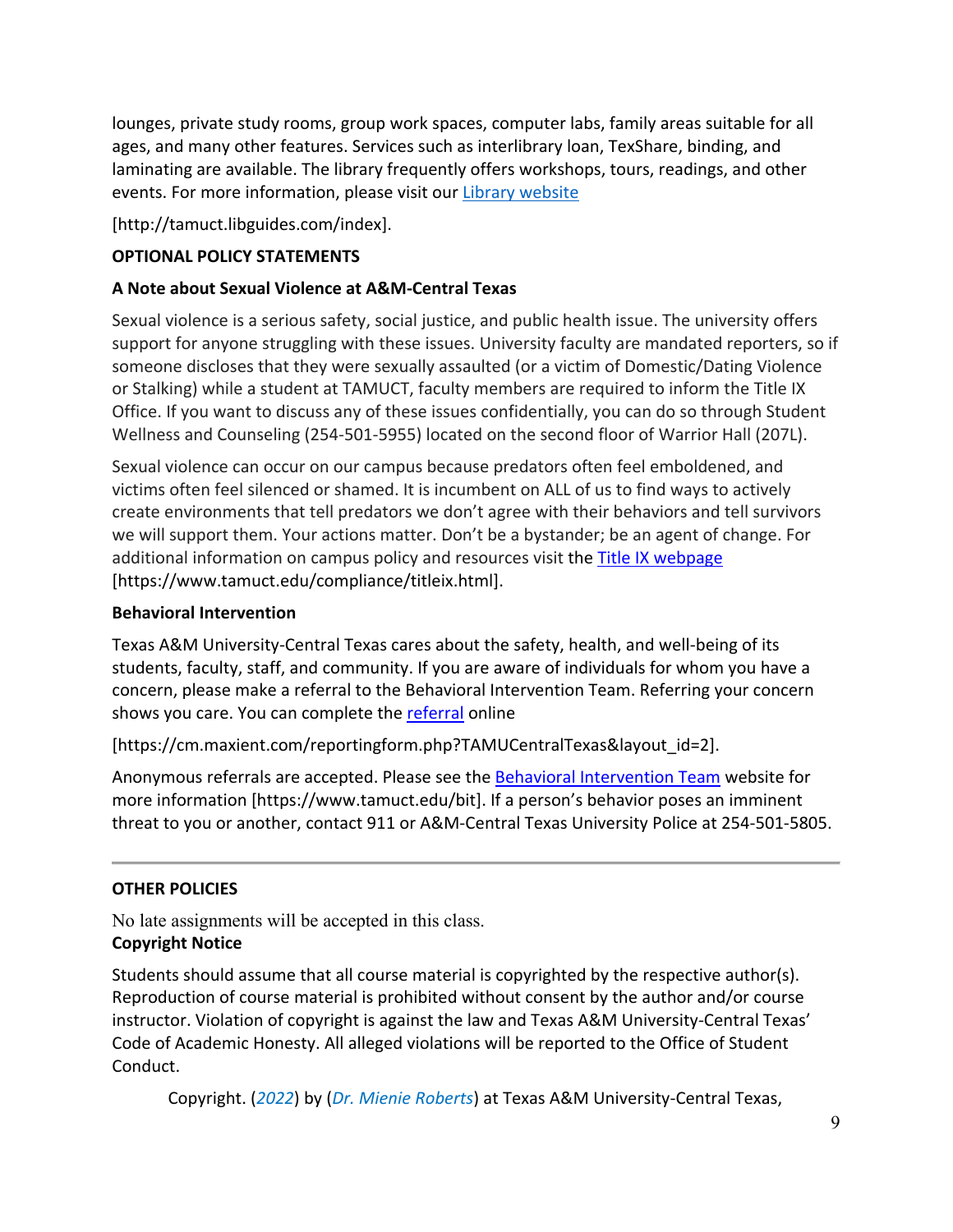lounges, private study rooms, group work spaces, computer labs, family areas suitable for all ages, and many other features. Services such as interlibrary loan, TexShare, binding, and laminating are available. The library frequently offers workshops, tours, readings, and other events. For more information, please visit our Library [website](https://nam04.safelinks.protection.outlook.com/?url=https%3A%2F%2Ftamuct.libguides.com%2Findex&data=04%7C01%7Clisa.bunkowski%40tamuct.edu%7C7d8489e8839a4915335f08d916f067f2%7C9eed4e3000f744849ff193ad8005acec%7C0%7C0%7C637566044056484222%7CUnknown%7CTWFpbGZsb3d8eyJWIjoiMC4wLjAwMDAiLCJQIjoiV2luMzIiLCJBTiI6Ik1haWwiLCJXVCI6Mn0%3D%7C1000&sdata=2R755V6rcIyedGrd4Os5rkgn1PvhHKU3kUV1vBKiHFo%3D&reserved=0)

[http://tamuct.libguides.com/index].

## **OPTIONAL POLICY STATEMENTS**

## **A Note about Sexual Violence at A&M-Central Texas**

Sexual violence is a serious safety, social justice, and public health issue. The university offers support for anyone struggling with these issues. University faculty are mandated reporters, so if someone discloses that they were sexually assaulted (or a victim of Domestic/Dating Violence or Stalking) while a student at TAMUCT, faculty members are required to inform the Title IX Office. If you want to discuss any of these issues confidentially, you can do so through Student Wellness and Counseling (254-501-5955) located on the second floor of Warrior Hall (207L).

Sexual violence can occur on our campus because predators often feel emboldened, and victims often feel silenced or shamed. It is incumbent on ALL of us to find ways to actively create environments that tell predators we don't agree with their behaviors and tell survivors we will support them. Your actions matter. Don't be a bystander; be an agent of change. For additional information on campus policy and resources visit the [Title IX webpage](https://www.tamuct.edu/compliance/titleix.html) [\[https://www.tamuct.edu/compliance/titleix.html\]](https://www.tamuct.edu/compliance/titleix.html).

## **Behavioral Intervention**

Texas A&M University-Central Texas cares about the safety, health, and well-being of its students, faculty, staff, and community. If you are aware of individuals for whom you have a concern, please make a referral to the Behavioral Intervention Team. Referring your concern shows you care. You can complete the [referral](https://cm.maxient.com/reportingform.php?TAMUCentralTexas&layout_id=2) online

[https://cm.maxient.com/reportingform.php?TAMUCentralTexas&layout\_id=2].

Anonymous referrals are accepted. Please see the [Behavioral Intervention Team](https://www.tamuct.edu/bit) website for more information [https://www.tamuct.edu/bit]. If a person's behavior poses an imminent threat to you or another, contact 911 or A&M-Central Texas University Police at 254-501-5805.

# **OTHER POLICIES**

No late assignments will be accepted in this class. **Copyright Notice**

Students should assume that all course material is copyrighted by the respective author(s). Reproduction of course material is prohibited without consent by the author and/or course instructor. Violation of copyright is against the law and Texas A&M University-Central Texas' Code of Academic Honesty. All alleged violations will be reported to the Office of Student Conduct.

Copyright. (*2022*) by (*Dr. Mienie Roberts*) at Texas A&M University-Central Texas,